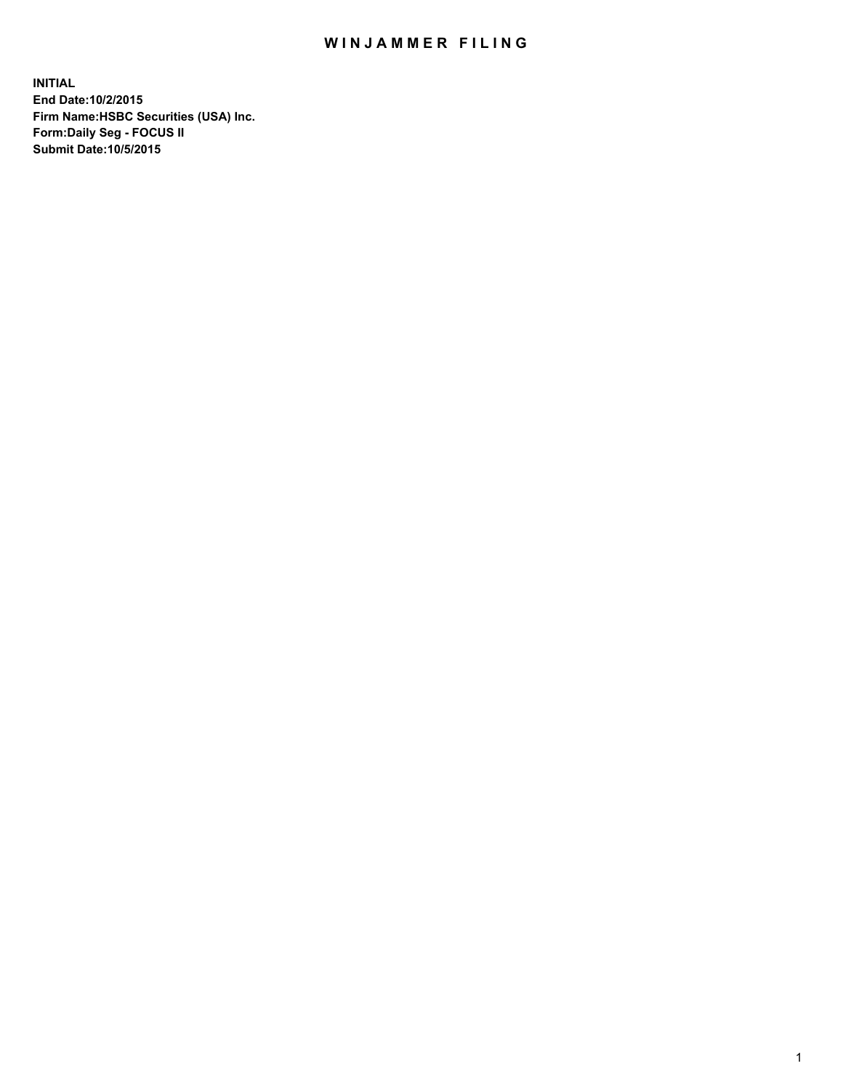## WIN JAMMER FILING

**INITIAL End Date:10/2/2015 Firm Name:HSBC Securities (USA) Inc. Form:Daily Seg - FOCUS II Submit Date:10/5/2015**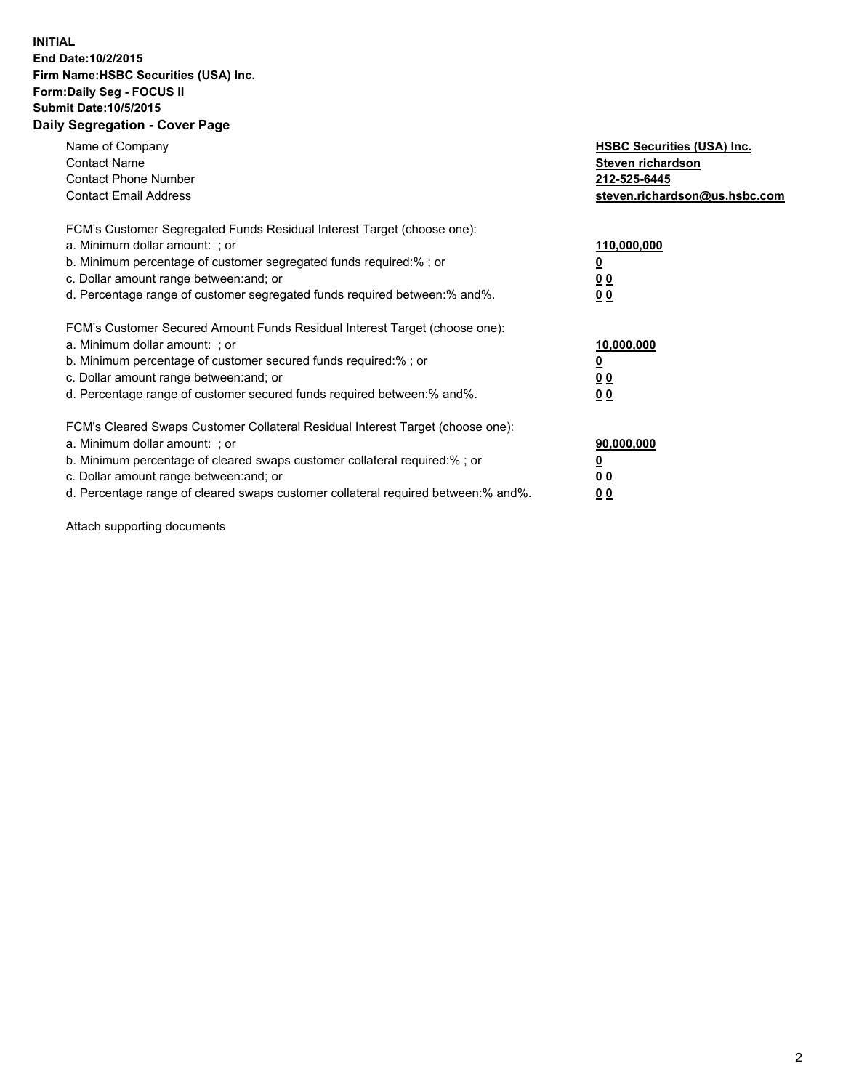## **INITIAL End Date:10/2/2015 Firm Name:HSBC Securities (USA) Inc. Form:Daily Seg - FOCUS II Submit Date:10/5/2015 Daily Segregation - Cover Page**

| Name of Company<br><b>Contact Name</b><br><b>Contact Phone Number</b><br><b>Contact Email Address</b>                                                                                                                                                                                                                          | <b>HSBC Securities (USA) Inc.</b><br>Steven richardson<br>212-525-6445<br>steven.richardson@us.hsbc.com |
|--------------------------------------------------------------------------------------------------------------------------------------------------------------------------------------------------------------------------------------------------------------------------------------------------------------------------------|---------------------------------------------------------------------------------------------------------|
| FCM's Customer Segregated Funds Residual Interest Target (choose one):<br>a. Minimum dollar amount: ; or<br>b. Minimum percentage of customer segregated funds required:%; or<br>c. Dollar amount range between: and; or<br>d. Percentage range of customer segregated funds required between: % and %.                        | 110,000,000<br>0 <sub>0</sub><br>0 <sub>0</sub>                                                         |
| FCM's Customer Secured Amount Funds Residual Interest Target (choose one):<br>a. Minimum dollar amount: ; or<br>b. Minimum percentage of customer secured funds required:%; or<br>c. Dollar amount range between: and; or<br>d. Percentage range of customer secured funds required between:% and%.                            | 10,000,000<br><u>0</u><br>0 <sub>0</sub><br>0 <sub>0</sub>                                              |
| FCM's Cleared Swaps Customer Collateral Residual Interest Target (choose one):<br>a. Minimum dollar amount: ; or<br>b. Minimum percentage of cleared swaps customer collateral required:% ; or<br>c. Dollar amount range between: and; or<br>d. Percentage range of cleared swaps customer collateral required between:% and%. | 90,000,000<br>00<br><u>00</u>                                                                           |

Attach supporting documents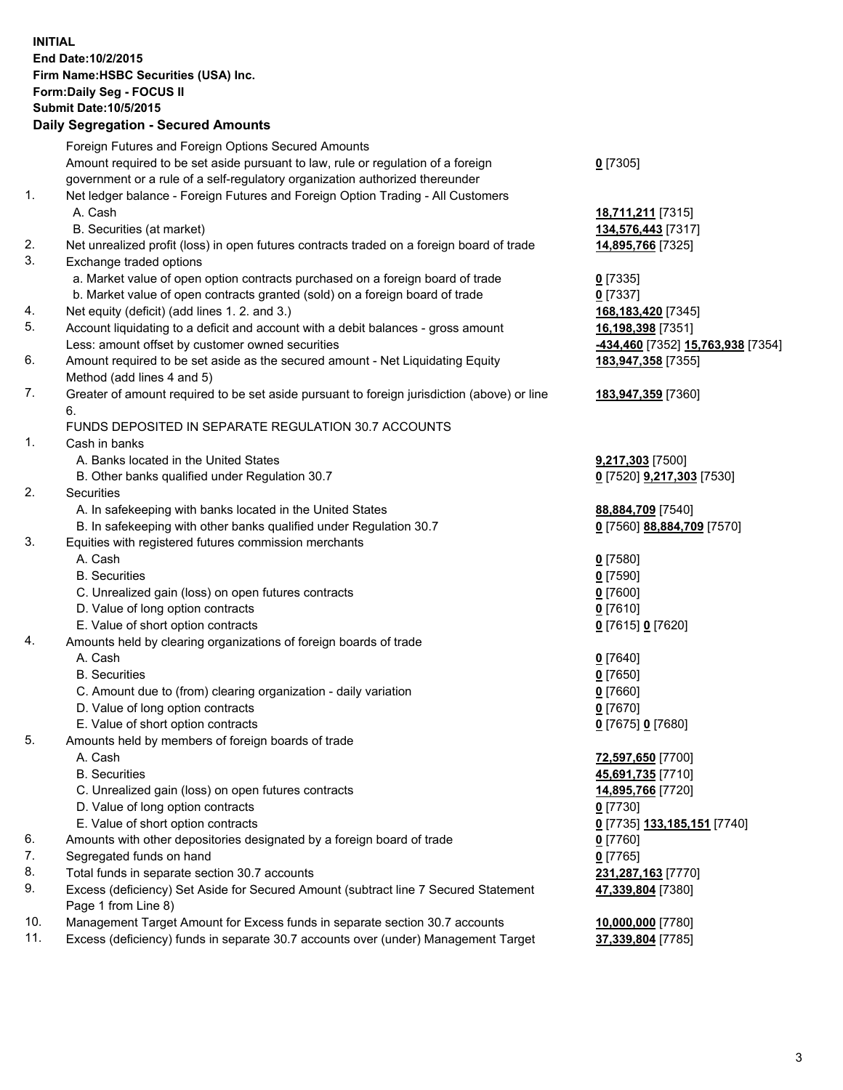**INITIAL End Date:10/2/2015 Firm Name:HSBC Securities (USA) Inc. Form:Daily Seg - FOCUS II Submit Date:10/5/2015 Daily Segregation - Secured Amounts**

## Foreign Futures and Foreign Options Secured Amounts Amount required to be set aside pursuant to law, rule or regulation of a foreign government or a rule of a self-regulatory organization authorized thereunder **0** [7305] 1. Net ledger balance - Foreign Futures and Foreign Option Trading - All Customers A. Cash **18,711,211** [7315] B. Securities (at market) **134,576,443** [7317] 2. Net unrealized profit (loss) in open futures contracts traded on a foreign board of trade **14,895,766** [7325] 3. Exchange traded options a. Market value of open option contracts purchased on a foreign board of trade **0** [7335] b. Market value of open contracts granted (sold) on a foreign board of trade **0** [7337] 4. Net equity (deficit) (add lines 1. 2. and 3.) **168,183,420** [7345] 5. Account liquidating to a deficit and account with a debit balances - gross amount **16,198,398** [7351] Less: amount offset by customer owned securities **-434,460** [7352] **15,763,938** [7354] 6. Amount required to be set aside as the secured amount - Net Liquidating Equity Method (add lines 4 and 5) **183,947,358** [7355] 7. Greater of amount required to be set aside pursuant to foreign jurisdiction (above) or line 6. **183,947,359** [7360] FUNDS DEPOSITED IN SEPARATE REGULATION 30.7 ACCOUNTS 1. Cash in banks A. Banks located in the United States **9,217,303** [7500] B. Other banks qualified under Regulation 30.7 **0** [7520] **9,217,303** [7530] 2. Securities A. In safekeeping with banks located in the United States **88,884,709** [7540] B. In safekeeping with other banks qualified under Regulation 30.7 **0** [7560] **88,884,709** [7570] 3. Equities with registered futures commission merchants A. Cash **0** [7580] B. Securities **0** [7590] C. Unrealized gain (loss) on open futures contracts **0** [7600] D. Value of long option contracts **0** [7610] E. Value of short option contracts **0** [7615] **0** [7620] 4. Amounts held by clearing organizations of foreign boards of trade A. Cash **0** [7640] B. Securities **0** [7650] C. Amount due to (from) clearing organization - daily variation **0** [7660] D. Value of long option contracts **0** [7670] E. Value of short option contracts **0** [7675] **0** [7680] 5. Amounts held by members of foreign boards of trade A. Cash **72,597,650** [7700] B. Securities **45,691,735** [7710] C. Unrealized gain (loss) on open futures contracts **14,895,766** [7720] D. Value of long option contracts **0** [7730] E. Value of short option contracts **0** [7735] **133,185,151** [7740] 6. Amounts with other depositories designated by a foreign board of trade **0** [7760]

- 7. Segregated funds on hand **0** [7765]
- 8. Total funds in separate section 30.7 accounts **231,287,163** [7770]
- 9. Excess (deficiency) Set Aside for Secured Amount (subtract line 7 Secured Statement Page 1 from Line 8)
- 10. Management Target Amount for Excess funds in separate section 30.7 accounts **10,000,000** [7780]
- 11. Excess (deficiency) funds in separate 30.7 accounts over (under) Management Target **37,339,804** [7785]

**47,339,804** [7380]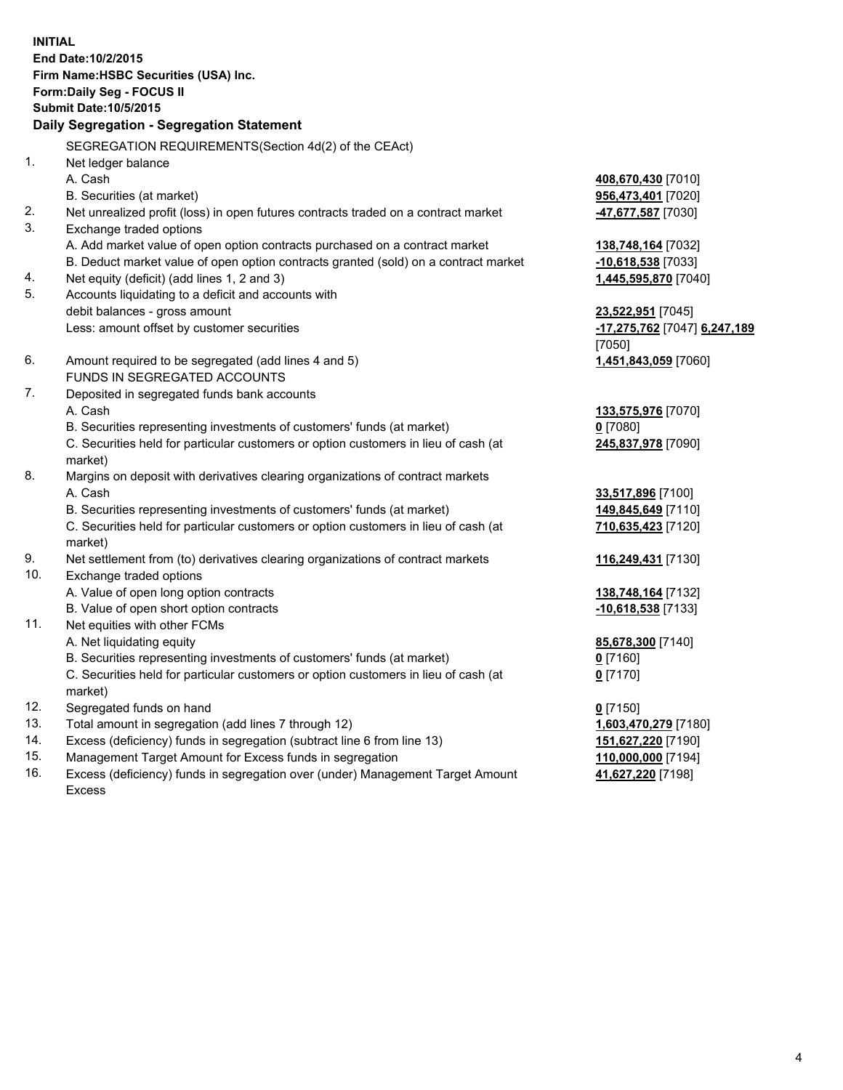**INITIAL End Date:10/2/2015 Firm Name:HSBC Securities (USA) Inc. Form:Daily Seg - FOCUS II Submit Date:10/5/2015 Daily Segregation - Segregation Statement** SEGREGATION REQUIREMENTS(Section 4d(2) of the CEAct) 1. Net ledger balance A. Cash **408,670,430** [7010] B. Securities (at market) **956,473,401** [7020] 2. Net unrealized profit (loss) in open futures contracts traded on a contract market **-47,677,587** [7030] 3. Exchange traded options A. Add market value of open option contracts purchased on a contract market **138,748,164** [7032] B. Deduct market value of open option contracts granted (sold) on a contract market **-10,618,538** [7033] 4. Net equity (deficit) (add lines 1, 2 and 3) **1,445,595,870** [7040] 5. Accounts liquidating to a deficit and accounts with debit balances - gross amount **23,522,951** [7045] Less: amount offset by customer securities **-17,275,762** [7047] **6,247,189** [7050] 6. Amount required to be segregated (add lines 4 and 5) **1,451,843,059** [7060] FUNDS IN SEGREGATED ACCOUNTS 7. Deposited in segregated funds bank accounts A. Cash **133,575,976** [7070] B. Securities representing investments of customers' funds (at market) **0** [7080] C. Securities held for particular customers or option customers in lieu of cash (at market) **245,837,978** [7090] 8. Margins on deposit with derivatives clearing organizations of contract markets A. Cash **33,517,896** [7100] B. Securities representing investments of customers' funds (at market) **149,845,649** [7110] C. Securities held for particular customers or option customers in lieu of cash (at market) **710,635,423** [7120] 9. Net settlement from (to) derivatives clearing organizations of contract markets **116,249,431** [7130] 10. Exchange traded options A. Value of open long option contracts **138,748,164** [7132] B. Value of open short option contracts **and the set of open short option contracts -10,618,538** [7133] 11. Net equities with other FCMs A. Net liquidating equity **85,678,300** [7140] B. Securities representing investments of customers' funds (at market) **0** [7160] C. Securities held for particular customers or option customers in lieu of cash (at market) **0** [7170] 12. Segregated funds on hand **0** [7150] 13. Total amount in segregation (add lines 7 through 12) **1,603,470,279** [7180] 14. Excess (deficiency) funds in segregation (subtract line 6 from line 13) **151,627,220** [7190] 15. Management Target Amount for Excess funds in segregation **110,000,000** [7194] **41,627,220** [7198]

16. Excess (deficiency) funds in segregation over (under) Management Target Amount Excess